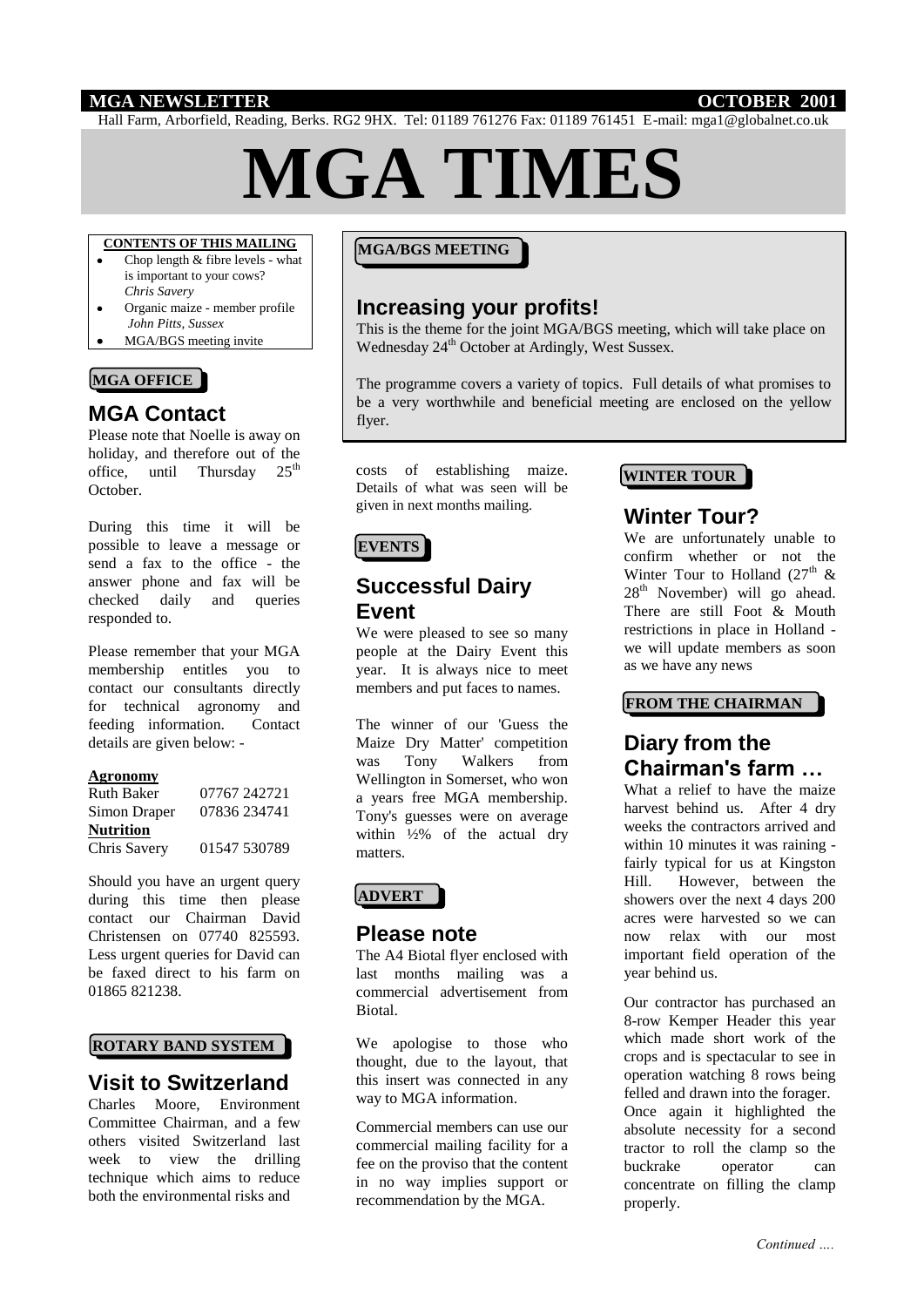## **MGA NEWSLETTER OCTOBER 2001**

Hall Farm, Arborfield, Reading, Berks. RG2 9HX. Tel: 01189 761276 Fax: 01189 761451 E-mail: mga1@globalnet.co.uk

# **MGA TIMES**

# **CONTENTS OF THIS MAILING**

- Chop length & fibre levels what is important to your cows? *Chris Savery*
- Organic maize member profile *John Pitts, Sussex*
- MGA/BGS meeting invite

#### **MGA OFFICE**

# **MGA Contact**

Please note that Noelle is away on holiday, and therefore out of the office, until Thursday  $25<sup>th</sup>$ October.

During this time it will be possible to leave a message or send a fax to the office - the answer phone and fax will be checked daily and queries responded to.

Please remember that your MGA membership entitles you to contact our consultants directly for technical agronomy and feeding information. Contact details are given below: -

#### **Agronomy**

| <b>Ruth Baker</b> | 07767 242721 |
|-------------------|--------------|
| Simon Draper      | 07836 234741 |
| <b>Nutrition</b>  |              |
| Chris Savery      | 01547 530789 |

Should you have an urgent query during this time then please contact our Chairman David Christensen on 07740 825593. Less urgent queries for David can be faxed direct to his farm on 01865 821238.

#### **ROTARY BAND SYSTEM**

# **Visit to Switzerland**

Charles Moore, Environment Committee Chairman, and a few others visited Switzerland last week to view the drilling technique which aims to reduce both the environmental risks and

#### **MGA/BGS MEETING**

# **Increasing your profits!**

This is the theme for the joint MGA/BGS meeting, which will take place on Wednesday 24<sup>th</sup> October at Ardingly, West Sussex.

The programme covers a variety of topics. Full details of what promises to be a very worthwhile and beneficial meeting are enclosed on the yellow flyer.

costs of establishing maize. Details of what was seen will be given in next months mailing.

# **EVENTS**

# **Successful Dairy Event**

We were pleased to see so many people at the Dairy Event this year. It is always nice to meet members and put faces to names.

The winner of our 'Guess the Maize Dry Matter' competition was Tony Walkers from Wellington in Somerset, who won a years free MGA membership. Tony's guesses were on average within  $\frac{1}{2}\%$  of the actual dry matters.

## **ADVERT**

# **Please note**

The A4 Biotal flyer enclosed with last months mailing was a commercial advertisement from Biotal.

We apologise to those who thought, due to the layout, that this insert was connected in any way to MGA information.

Commercial members can use our commercial mailing facility for a fee on the proviso that the content in no way implies support or recommendation by the MGA.

#### **WINTER TOUR**

# **Winter Tour?**

We are unfortunately unable to confirm whether or not the Winter Tour to Holland (27<sup>th</sup>  $\&$  $28<sup>th</sup>$  November) will go ahead. There are still Foot & Mouth restrictions in place in Holland we will update members as soon as we have any news

#### **FROM THE CHAIRMAN**

# **Diary from the Chairman's farm …**

What a relief to have the maize harvest behind us. After 4 dry weeks the contractors arrived and within 10 minutes it was raining fairly typical for us at Kingston Hill. However, between the showers over the next 4 days 200 acres were harvested so we can now relax with our most important field operation of the year behind us.

Our contractor has purchased an 8-row Kemper Header this year which made short work of the crops and is spectacular to see in operation watching 8 rows being felled and drawn into the forager. Once again it highlighted the absolute necessity for a second tractor to roll the clamp so the buckrake operator can concentrate on filling the clamp properly.